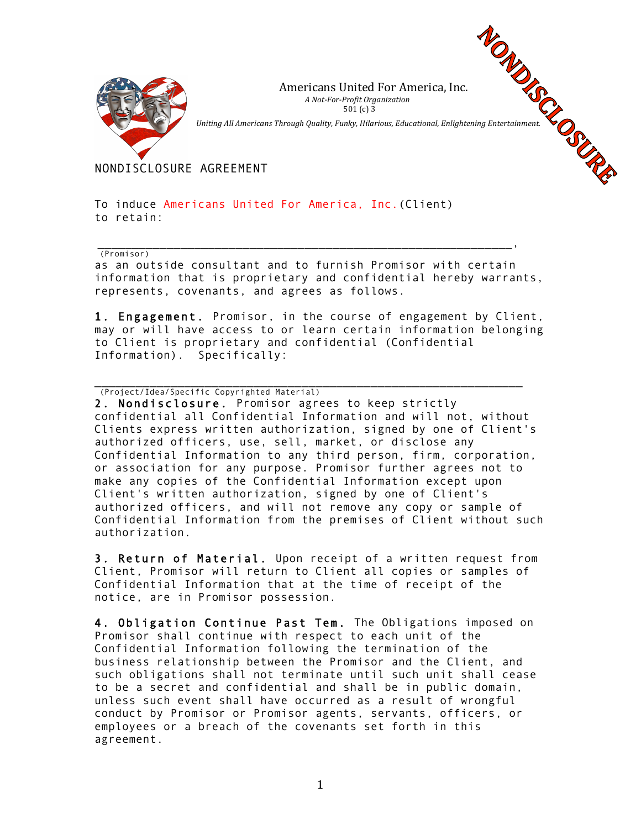

Americans United For America, Inc. *A Not-For-Profit Organization*   $501 (c) 3$ Americans United For America, Inc.<br> *A Not-For-Profit Organization*<br>
501 (c) 3<br>
Uniting All Americans Through Quality, Funky, Hilarious, Educational, Enlightening Entertainment.

NONDISCLOSURE AGREEMENT

To induce Americans United For America, Inc.(Client) to retain:

\_\_\_\_\_\_\_\_\_\_\_\_\_\_\_\_\_\_\_\_\_\_\_\_\_\_\_\_\_\_\_\_\_\_\_\_\_\_\_\_\_\_\_\_\_\_\_\_\_\_\_\_\_\_\_\_\_\_\_\_, (Promisor)

as an outside consultant and to furnish Promisor with certain information that is proprietary and confidential hereby warrants, represents, covenants, and agrees as follows.

1. Engagement. Promisor, in the course of engagement by Client, may or will have access to or learn certain information belonging to Client is proprietary and confidential (Confidential Information). Specifically:

\_\_\_\_\_\_\_\_\_\_\_\_\_\_\_\_\_\_\_\_\_\_\_\_\_\_\_\_\_\_\_\_\_\_\_\_\_\_\_\_\_\_\_\_\_\_\_\_\_\_\_\_\_\_\_\_\_\_\_\_\_\_ (Project/Idea/Specific Copyrighted Material)

2. Nondisclosure. Promisor agrees to keep strictly confidential all Confidential Information and will not, without Clients express written authorization, signed by one of Client's authorized officers, use, sell, market, or disclose any Confidential Information to any third person, firm, corporation, or association for any purpose. Promisor further agrees not to make any copies of the Confidential Information except upon Client's written authorization, signed by one of Client's authorized officers, and will not remove any copy or sample of Confidential Information from the premises of Client without such authorization.

3. Return of Material. Upon receipt of a written request from Client, Promisor will return to Client all copies or samples of Confidential Information that at the time of receipt of the notice, are in Promisor possession.

4. Obligation Continue Past Tem. The Obligations imposed on Promisor shall continue with respect to each unit of the Confidential Information following the termination of the business relationship between the Promisor and the Client, and such obligations shall not terminate until such unit shall cease to be a secret and confidential and shall be in public domain, unless such event shall have occurred as a result of wrongful conduct by Promisor or Promisor agents, servants, officers, or employees or a breach of the covenants set forth in this agreement.